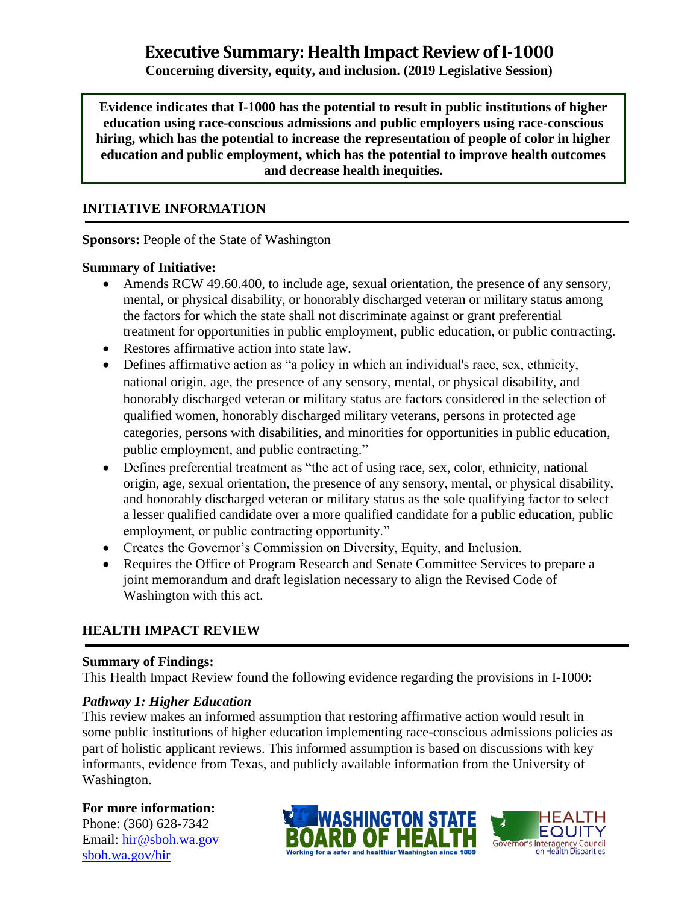# **Executive Summary: Health Impact Review of I-1000**

**Concerning diversity, equity, and inclusion. (2019 Legislative Session)**

**Evidence indicates that I-1000 has the potential to result in public institutions of higher education using race-conscious admissions and public employers using race-conscious hiring, which has the potential to increase the representation of people of color in higher education and public employment, which has the potential to improve health outcomes and decrease health inequities.**

#### **INITIATIVE INFORMATION**

**Sponsors:** People of the State of Washington

#### **Summary of Initiative:**

- Amends RCW 49.60.400, to include age, sexual orientation, the presence of any sensory, mental, or physical disability, or honorably discharged veteran or military status among the factors for which the state shall not discriminate against or grant preferential treatment for opportunities in public employment, public education, or public contracting.
- Restores affirmative action into state law.
- Defines affirmative action as "a policy in which an individual's race, sex, ethnicity, national origin, age, the presence of any sensory, mental, or physical disability, and honorably discharged veteran or military status are factors considered in the selection of qualified women, honorably discharged military veterans, persons in protected age categories, persons with disabilities, and minorities for opportunities in public education, public employment, and public contracting."
- Defines preferential treatment as "the act of using race, sex, color, ethnicity, national origin, age, sexual orientation, the presence of any sensory, mental, or physical disability, and honorably discharged veteran or military status as the sole qualifying factor to select a lesser qualified candidate over a more qualified candidate for a public education, public employment, or public contracting opportunity."
- Creates the Governor's Commission on Diversity, Equity, and Inclusion.
- Requires the Office of Program Research and Senate Committee Services to prepare a joint memorandum and draft legislation necessary to align the Revised Code of Washington with this act.

### **HEALTH IMPACT REVIEW**

#### **Summary of Findings:**

This Health Impact Review found the following evidence regarding the provisions in I-1000:

#### *Pathway 1: Higher Education*

This review makes an informed assumption that restoring affirmative action would result in some public institutions of higher education implementing race-conscious admissions policies as part of holistic applicant reviews. This informed assumption is based on discussions with key informants, evidence from Texas, and publicly available information from the University of Washington.

#### **For more information:**

Phone: (360) 628-7342 Email: [hir@sboh.wa.gov](mailto:hir@sboh.wa.gov) [sboh.wa.gov/](http://sboh.wa.gov/)hir